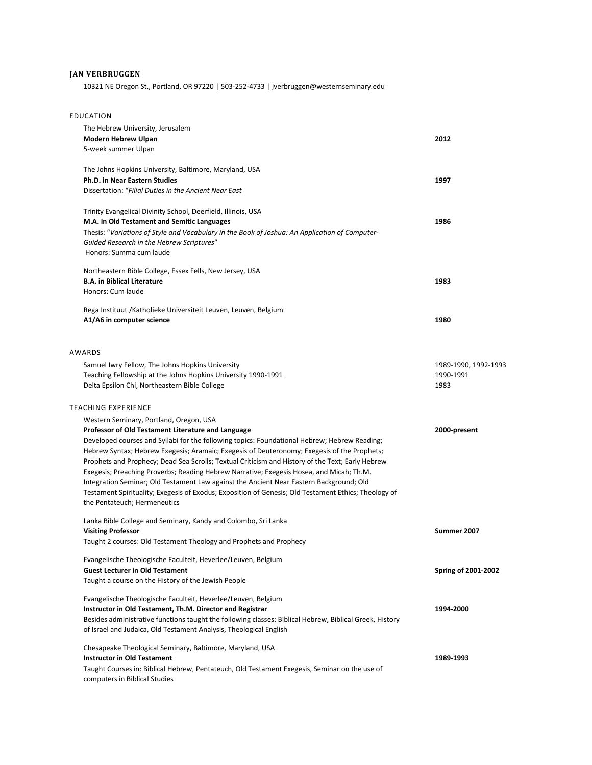## **JAN VERBRUGGEN**

10321 NE Oregon St., Portland, OR 97220 | 503-252-4733 | jverbruggen@westernseminary.edu

|  | EDUCATION |  |
|--|-----------|--|
|--|-----------|--|

| The Hebrew University, Jerusalem<br><b>Modern Hebrew Ulpan</b><br>5-week summer Ulpan                                                                                                                                                                                                                                                                                                                                                                                                                                                                                                                                                                                                                                           | 2012                       |
|---------------------------------------------------------------------------------------------------------------------------------------------------------------------------------------------------------------------------------------------------------------------------------------------------------------------------------------------------------------------------------------------------------------------------------------------------------------------------------------------------------------------------------------------------------------------------------------------------------------------------------------------------------------------------------------------------------------------------------|----------------------------|
| The Johns Hopkins University, Baltimore, Maryland, USA<br><b>Ph.D. in Near Eastern Studies</b><br>Dissertation: "Filial Duties in the Ancient Near East                                                                                                                                                                                                                                                                                                                                                                                                                                                                                                                                                                         | 1997                       |
| Trinity Evangelical Divinity School, Deerfield, Illinois, USA<br>M.A. in Old Testament and Semitic Languages<br>Thesis: "Variations of Style and Vocabulary in the Book of Joshua: An Application of Computer-<br>Guided Research in the Hebrew Scriptures"<br>Honors: Summa cum laude                                                                                                                                                                                                                                                                                                                                                                                                                                          | 1986                       |
| Northeastern Bible College, Essex Fells, New Jersey, USA<br><b>B.A. in Biblical Literature</b><br>Honors: Cum laude                                                                                                                                                                                                                                                                                                                                                                                                                                                                                                                                                                                                             | 1983                       |
| Rega Instituut /Katholieke Universiteit Leuven, Leuven, Belgium<br>A1/A6 in computer science                                                                                                                                                                                                                                                                                                                                                                                                                                                                                                                                                                                                                                    | 1980                       |
| AWARDS<br>Samuel Iwry Fellow, The Johns Hopkins University                                                                                                                                                                                                                                                                                                                                                                                                                                                                                                                                                                                                                                                                      | 1989-1990, 1992-1993       |
| Teaching Fellowship at the Johns Hopkins University 1990-1991<br>Delta Epsilon Chi, Northeastern Bible College                                                                                                                                                                                                                                                                                                                                                                                                                                                                                                                                                                                                                  | 1990-1991<br>1983          |
| <b>TEACHING EXPERIENCE</b>                                                                                                                                                                                                                                                                                                                                                                                                                                                                                                                                                                                                                                                                                                      |                            |
| Western Seminary, Portland, Oregon, USA<br>Professor of Old Testament Literature and Language<br>Developed courses and Syllabi for the following topics: Foundational Hebrew; Hebrew Reading;<br>Hebrew Syntax; Hebrew Exegesis; Aramaic; Exegesis of Deuteronomy; Exegesis of the Prophets;<br>Prophets and Prophecy; Dead Sea Scrolls; Textual Criticism and History of the Text; Early Hebrew<br>Exegesis; Preaching Proverbs; Reading Hebrew Narrative; Exegesis Hosea, and Micah; Th.M.<br>Integration Seminar; Old Testament Law against the Ancient Near Eastern Background; Old<br>Testament Spirituality; Exegesis of Exodus; Exposition of Genesis; Old Testament Ethics; Theology of<br>the Pentateuch; Hermeneutics | 2000-present               |
| Lanka Bible College and Seminary, Kandy and Colombo, Sri Lanka<br><b>Visiting Professor</b><br>Taught 2 courses: Old Testament Theology and Prophets and Prophecy                                                                                                                                                                                                                                                                                                                                                                                                                                                                                                                                                               | Summer 2007                |
| Evangelische Theologische Faculteit, Heverlee/Leuven, Belgium<br><b>Guest Lecturer in Old Testament</b><br>Taught a course on the History of the Jewish People                                                                                                                                                                                                                                                                                                                                                                                                                                                                                                                                                                  | <b>Spring of 2001-2002</b> |
| Evangelische Theologische Faculteit, Heverlee/Leuven, Belgium<br>Instructor in Old Testament, Th.M. Director and Registrar<br>Besides administrative functions taught the following classes: Biblical Hebrew, Biblical Greek, History<br>of Israel and Judaica, Old Testament Analysis, Theological English                                                                                                                                                                                                                                                                                                                                                                                                                     | 1994-2000                  |
| Chesapeake Theological Seminary, Baltimore, Maryland, USA<br><b>Instructor in Old Testament</b><br>Taught Courses in: Biblical Hebrew, Pentateuch, Old Testament Exegesis, Seminar on the use of<br>computers in Biblical Studies                                                                                                                                                                                                                                                                                                                                                                                                                                                                                               | 1989-1993                  |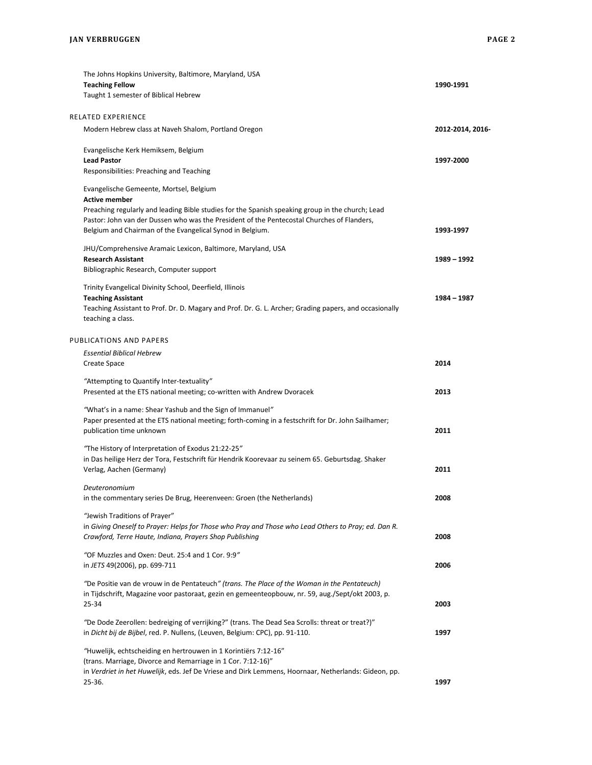| The Johns Hopkins University, Baltimore, Maryland, USA                                                                      |                  |
|-----------------------------------------------------------------------------------------------------------------------------|------------------|
| <b>Teaching Fellow</b>                                                                                                      | 1990-1991        |
| Taught 1 semester of Biblical Hebrew                                                                                        |                  |
| RELATED EXPERIENCE                                                                                                          |                  |
| Modern Hebrew class at Naveh Shalom, Portland Oregon                                                                        | 2012-2014, 2016- |
| Evangelische Kerk Hemiksem, Belgium                                                                                         |                  |
| <b>Lead Pastor</b>                                                                                                          | 1997-2000        |
| Responsibilities: Preaching and Teaching                                                                                    |                  |
| Evangelische Gemeente, Mortsel, Belgium                                                                                     |                  |
| <b>Active member</b>                                                                                                        |                  |
| Preaching regularly and leading Bible studies for the Spanish speaking group in the church; Lead                            |                  |
| Pastor: John van der Dussen who was the President of the Pentecostal Churches of Flanders,                                  |                  |
| Belgium and Chairman of the Evangelical Synod in Belgium.                                                                   | 1993-1997        |
| JHU/Comprehensive Aramaic Lexicon, Baltimore, Maryland, USA                                                                 |                  |
| <b>Research Assistant</b>                                                                                                   | 1989 - 1992      |
| Bibliographic Research, Computer support                                                                                    |                  |
| Trinity Evangelical Divinity School, Deerfield, Illinois                                                                    |                  |
| <b>Teaching Assistant</b>                                                                                                   | 1984 - 1987      |
| Teaching Assistant to Prof. Dr. D. Magary and Prof. Dr. G. L. Archer; Grading papers, and occasionally<br>teaching a class. |                  |
| PUBLICATIONS AND PAPERS                                                                                                     |                  |
|                                                                                                                             |                  |
| <b>Essential Biblical Hebrew</b>                                                                                            |                  |
| Create Space                                                                                                                | 2014             |
| "Attempting to Quantify Inter-textuality"                                                                                   |                  |
| Presented at the ETS national meeting; co-written with Andrew Dvoracek                                                      | 2013             |
|                                                                                                                             |                  |
| "What's in a name: Shear Yashub and the Sign of Immanuel"                                                                   |                  |
| Paper presented at the ETS national meeting; forth-coming in a festschrift for Dr. John Sailhamer;                          |                  |
| publication time unknown                                                                                                    | 2011             |
| "The History of Interpretation of Exodus 21:22-25"                                                                          |                  |
| in Das heilige Herz der Tora, Festschrift für Hendrik Koorevaar zu seinem 65. Geburtsdag. Shaker                            |                  |
| Verlag, Aachen (Germany)                                                                                                    | 2011             |
|                                                                                                                             |                  |
| Deuteronomium                                                                                                               |                  |
| in the commentary series De Brug, Heerenveen: Groen (the Netherlands)                                                       | 2008             |
| "Jewish Traditions of Prayer"                                                                                               |                  |
| in Giving Oneself to Prayer: Helps for Those who Pray and Those who Lead Others to Pray; ed. Dan R.                         |                  |
| Crawford, Terre Haute, Indiana, Prayers Shop Publishing                                                                     | 2008             |
| "OF Muzzles and Oxen: Deut. 25:4 and 1 Cor. 9:9"                                                                            |                  |
| in JETS 49(2006), pp. 699-711                                                                                               | 2006             |
|                                                                                                                             |                  |
| "De Positie van de vrouw in de Pentateuch" (trans. The Place of the Woman in the Pentateuch)                                |                  |
| in Tijdschrift, Magazine voor pastoraat, gezin en gemeenteopbouw, nr. 59, aug./Sept/okt 2003, p.                            |                  |
| 25-34                                                                                                                       | 2003             |
| "De Dode Zeerollen: bedreiging of verrijking?" (trans. The Dead Sea Scrolls: threat or treat?)"                             |                  |
| in Dicht bij de Bijbel, red. P. Nullens, (Leuven, Belgium: CPC), pp. 91-110.                                                | 1997             |
| "Huwelijk, echtscheiding en hertrouwen in 1 Korintiërs 7:12-16"                                                             |                  |
| (trans. Marriage, Divorce and Remarriage in 1 Cor. 7:12-16)"                                                                |                  |
| in Verdriet in het Huwelijk, eds. Jef De Vriese and Dirk Lemmens, Hoornaar, Netherlands: Gideon, pp.                        |                  |
| 25-36.                                                                                                                      | 1997             |
|                                                                                                                             |                  |